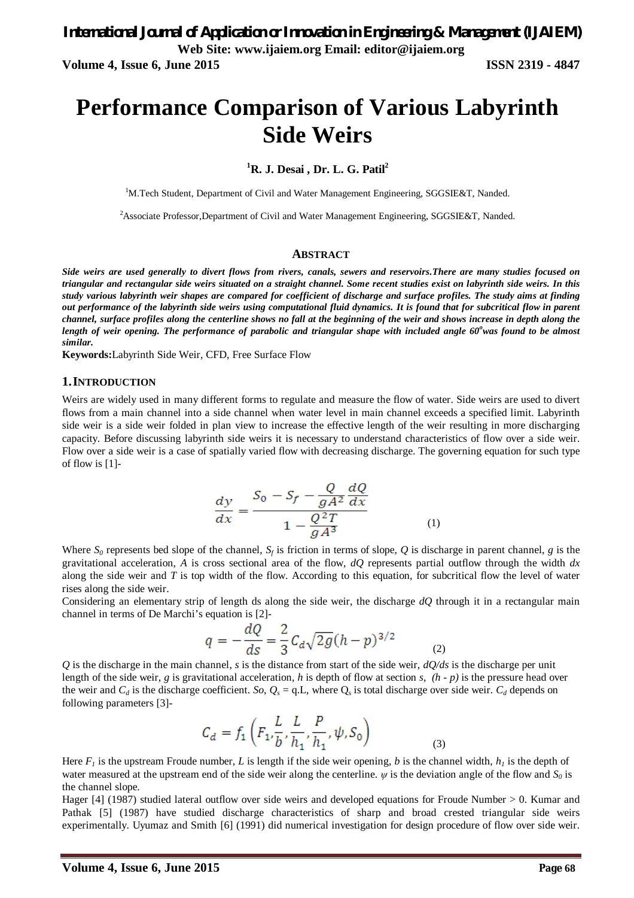# **Performance Comparison of Various Labyrinth Side Weirs**

**<sup>1</sup>R. J. Desai , Dr. L. G. Patil<sup>2</sup>**

<sup>1</sup>M.Tech Student, Department of Civil and Water Management Engineering, SGGSIE&T, Nanded.

<sup>2</sup>Associate Professor,Department of Civil and Water Management Engineering, SGGSIE&T, Nanded.

#### **ABSTRACT**

*Side weirs are used generally to divert flows from rivers, canals, sewers and reservoirs.There are many studies focused on triangular and rectangular side weirs situated on a straight channel. Some recent studies exist on labyrinth side weirs. In this study various labyrinth weir shapes are compared for coefficient of discharge and surface profiles. The study aims at finding out performance of the labyrinth side weirs using computational fluid dynamics. It is found that for subcritical flow in parent channel, surface profiles along the centerline shows no fall at the beginning of the weir and shows increase in depth along the length of weir opening. The performance of parabolic and triangular shape with included angle 60<sup>o</sup>was found to be almost similar.*

**Keywords:**Labyrinth Side Weir, CFD, Free Surface Flow

#### **1.INTRODUCTION**

Weirs are widely used in many different forms to regulate and measure the flow of water. Side weirs are used to divert flows from a main channel into a side channel when water level in main channel exceeds a specified limit. Labyrinth side weir is a side weir folded in plan view to increase the effective length of the weir resulting in more discharging capacity. Before discussing labyrinth side weirs it is necessary to understand characteristics of flow over a side weir. Flow over a side weir is a case of spatially varied flow with decreasing discharge. The governing equation for such type of flow is [1]-

$$
\frac{dy}{dx} = \frac{S_0 - S_f - \frac{Q}{gA^2} \frac{dQ}{dx}}{1 - \frac{Q^2 T}{gA^3}}
$$
(1)

Where  $S_0$  represents bed slope of the channel,  $S_f$  is friction in terms of slope, Q is discharge in parent channel, g is the gravitational acceleration, *A* is cross sectional area of the flow, *dQ* represents partial outflow through the width *dx* along the side weir and  $T$  is top width of the flow. According to this equation, for subcritical flow the level of water rises along the side weir.

Considering an elementary strip of length ds along the side weir, the discharge *dQ* through it in a rectangular main channel in terms of De Marchi's equation is [2]-

$$
q = -\frac{dQ}{ds} = \frac{2}{3}C_d\sqrt{2g(h-p)^{3/2}}
$$
 (2)

*Q* is the discharge in the main channel, *s* is the distance from start of the side weir, *dQ/ds* is the discharge per unit length of the side weir, *g* is gravitational acceleration, *h* is depth of flow at section *s*, *(h - p)* is the pressure head over the weir and  $C_d$  is the discharge coefficient. *So*,  $Q_s = q.L$ , where  $Q_s$  is total discharge over side weir.  $C_d$  depends on following parameters [3]-

$$
C_d = f_1\left(F_1, \frac{L}{b}, \frac{L}{h_1}, \frac{P}{h_1}, \psi, S_0\right) \tag{3}
$$

Here  $F_l$  is the upstream Froude number, *L* is length if the side weir opening, *b* is the channel width,  $h_l$  is the depth of water measured at the upstream end of the side weir along the centerline.  $\psi$  is the deviation angle of the flow and  $S_0$  is the channel slope.

Hager [4] (1987) studied lateral outflow over side weirs and developed equations for Froude Number > 0. Kumar and Pathak [5] (1987) have studied discharge characteristics of sharp and broad crested triangular side weirs experimentally. Uyumaz and Smith [6] (1991) did numerical investigation for design procedure of flow over side weir.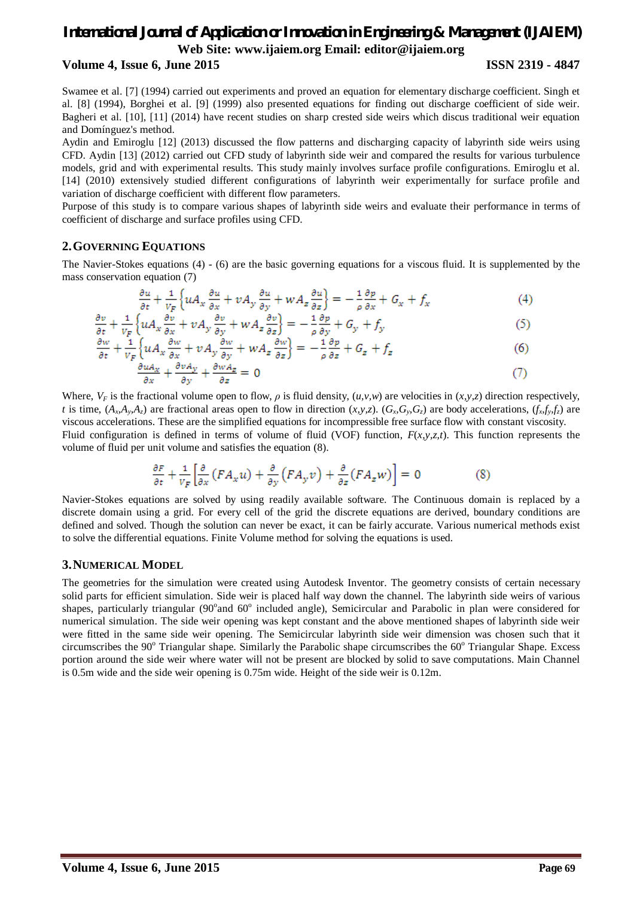# *International Journal of Application or Innovation in Engineering & Management (IJAIEM)* **Web Site: www.ijaiem.org Email: editor@ijaiem.org**

### **Volume 4, Issue 6, June 2015 ISSN 2319 - 4847**

Swamee et al. [7] (1994) carried out experiments and proved an equation for elementary discharge coefficient. Singh et al. [8] (1994), Borghei et al. [9] (1999) also presented equations for finding out discharge coefficient of side weir. Bagheri et al. [10], [11] (2014) have recent studies on sharp crested side weirs which discus traditional weir equation and Domínguez's method.

Aydin and Emiroglu [12] (2013) discussed the flow patterns and discharging capacity of labyrinth side weirs using CFD. Aydin [13] (2012) carried out CFD study of labyrinth side weir and compared the results for various turbulence models, grid and with experimental results. This study mainly involves surface profile configurations. Emiroglu et al. [14] (2010) extensively studied different configurations of labyrinth weir experimentally for surface profile and variation of discharge coefficient with different flow parameters.

Purpose of this study is to compare various shapes of labyrinth side weirs and evaluate their performance in terms of coefficient of discharge and surface profiles using CFD.

## **2.GOVERNING EQUATIONS**

The Navier-Stokes equations (4) - (6) are the basic governing equations for a viscous fluid. It is supplemented by the mass conservation equation (7)

$$
\frac{\partial u}{\partial t} + \frac{1}{V_F} \left\{ u A_x \frac{\partial u}{\partial x} + v A_y \frac{\partial u}{\partial y} + w A_z \frac{\partial u}{\partial z} \right\} = -\frac{1}{\rho} \frac{\partial p}{\partial x} + G_x + f_x \tag{4}
$$

$$
\frac{\partial v}{\partial t} + \frac{1}{v_F} \left\{ u A_x \frac{\partial v}{\partial x} + v A_y \frac{\partial v}{\partial y} + w A_z \frac{\partial v}{\partial z} \right\} = -\frac{1}{\rho} \frac{\partial p}{\partial y} + G_y + f_y \tag{5}
$$

$$
\frac{\partial w}{\partial t} + \frac{1}{v_F} \left\{ u A_x \frac{\partial w}{\partial x} + v A_y \frac{\partial w}{\partial y} + w A_z \frac{\partial w}{\partial z} \right\} = -\frac{1}{\rho} \frac{\partial p}{\partial z} + G_z + f_z \tag{6}
$$

$$
\frac{\partial u_{\alpha}}{\partial x} + \frac{\partial v_{\alpha}}{\partial y} + \frac{\partial w_{\alpha}}{\partial z} = 0 \tag{7}
$$

Where,  $V_F$  is the fractional volume open to flow,  $\rho$  is fluid density,  $(u, v, w)$  are velocities in  $(x, y, z)$  direction respectively, t is time,  $(A_x, A_y, A_z)$  are fractional areas open to flow in direction  $(x, y, z)$ .  $(G_x, G_y, G_z)$  are body accelerations,  $(f_x, f_y, f_z)$  are viscous accelerations. These are the simplified equations for incompressible free surface flow with constant viscosity. Fluid configuration is defined in terms of volume of fluid (VOF) function, *F*(*x,y,z,t*). This function represents the volume of fluid per unit volume and satisfies the equation (8).

$$
\frac{\partial F}{\partial t} + \frac{1}{v_F} \left[ \frac{\partial}{\partial x} \left( F A_x u \right) + \frac{\partial}{\partial y} \left( F A_y v \right) + \frac{\partial}{\partial z} \left( F A_z w \right) \right] = 0 \tag{8}
$$

Navier-Stokes equations are solved by using readily available software. The Continuous domain is replaced by a discrete domain using a grid. For every cell of the grid the discrete equations are derived, boundary conditions are defined and solved. Though the solution can never be exact, it can be fairly accurate. Various numerical methods exist to solve the differential equations. Finite Volume method for solving the equations is used.

### **3.NUMERICAL MODEL**

The geometries for the simulation were created using Autodesk Inventor. The geometry consists of certain necessary solid parts for efficient simulation. Side weir is placed half way down the channel. The labyrinth side weirs of various shapes, particularly triangular (90° and 60° included angle), Semicircular and Parabolic in plan were considered for numerical simulation. The side weir opening was kept constant and the above mentioned shapes of labyrinth side weir were fitted in the same side weir opening. The Semicircular labyrinth side weir dimension was chosen such that it circumscribes the 90<sup>o</sup> Triangular shape. Similarly the Parabolic shape circumscribes the 60<sup>o</sup> Triangular Shape. Excess portion around the side weir where water will not be present are blocked by solid to save computations. Main Channel is 0.5m wide and the side weir opening is 0.75m wide. Height of the side weir is 0.12m.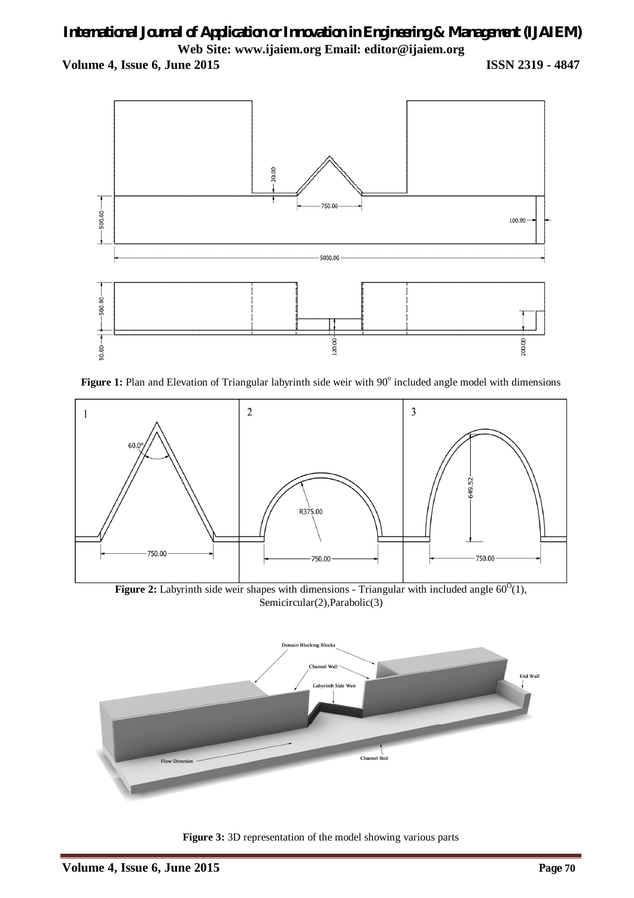# *International Journal of Application or Innovation in Engineering & Management (IJAIEM)* **Web Site: www.ijaiem.org Email: editor@ijaiem.org**

**Volume 4, Issue 6, June 2015 ISSN 2319 - 4847**



Figure 1: Plan and Elevation of Triangular labyrinth side weir with 90° included angle model with dimensions



**Figure 2:** Labyrinth side weir shapes with dimensions - Triangular with included angle  $60^{\circ}(1)$ , Semicircular(2),Parabolic(3)



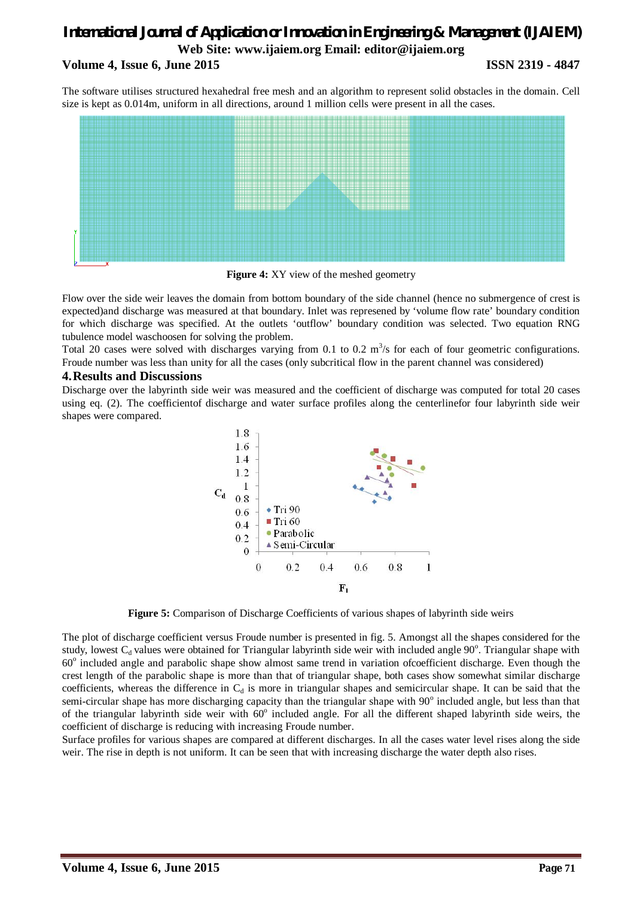# *International Journal of Application or Innovation in Engineering & Management (IJAIEM)* **Web Site: www.ijaiem.org Email: editor@ijaiem.org Volume 4, Issue 6, June 2015 ISSN 2319 - 4847**

The software utilises structured hexahedral free mesh and an algorithm to represent solid obstacles in the domain. Cell size is kept as 0.014m, uniform in all directions, around 1 million cells were present in all the cases.



**Figure 4:** XY view of the meshed geometry

Flow over the side weir leaves the domain from bottom boundary of the side channel (hence no submergence of crest is expected)and discharge was measured at that boundary. Inlet was represened by 'volume flow rate' boundary condition for which discharge was specified. At the outlets 'outflow' boundary condition was selected. Two equation RNG tubulence model waschoosen for solving the problem.

Total 20 cases were solved with discharges varying from 0.1 to 0.2  $\mathrm{m}^3$ /s for each of four geometric configurations. Froude number was less than unity for all the cases (only subcritical flow in the parent channel was considered)

### **4.Results and Discussions**

Discharge over the labyrinth side weir was measured and the coefficient of discharge was computed for total 20 cases using eq. (2). The coefficientof discharge and water surface profiles along the centerlinefor four labyrinth side weir shapes were compared.



**Figure 5:** Comparison of Discharge Coefficients of various shapes of labyrinth side weirs

The plot of discharge coefficient versus Froude number is presented in fig. 5. Amongst all the shapes considered for the study, lowest  $C_d$  values were obtained for Triangular labyrinth side weir with included angle  $90^\circ$ . Triangular shape with 60° included angle and parabolic shape show almost same trend in variation ofcoefficient discharge. Even though the crest length of the parabolic shape is more than that of triangular shape, both cases show somewhat similar discharge coefficients, whereas the difference in  $C_d$  is more in triangular shapes and semicircular shape. It can be said that the semi-circular shape has more discharging capacity than the triangular shape with 90° included angle, but less than that of the triangular labyrinth side weir with 60° included angle. For all the different shaped labyrinth side weirs, the coefficient of discharge is reducing with increasing Froude number.

Surface profiles for various shapes are compared at different discharges. In all the cases water level rises along the side weir. The rise in depth is not uniform. It can be seen that with increasing discharge the water depth also rises.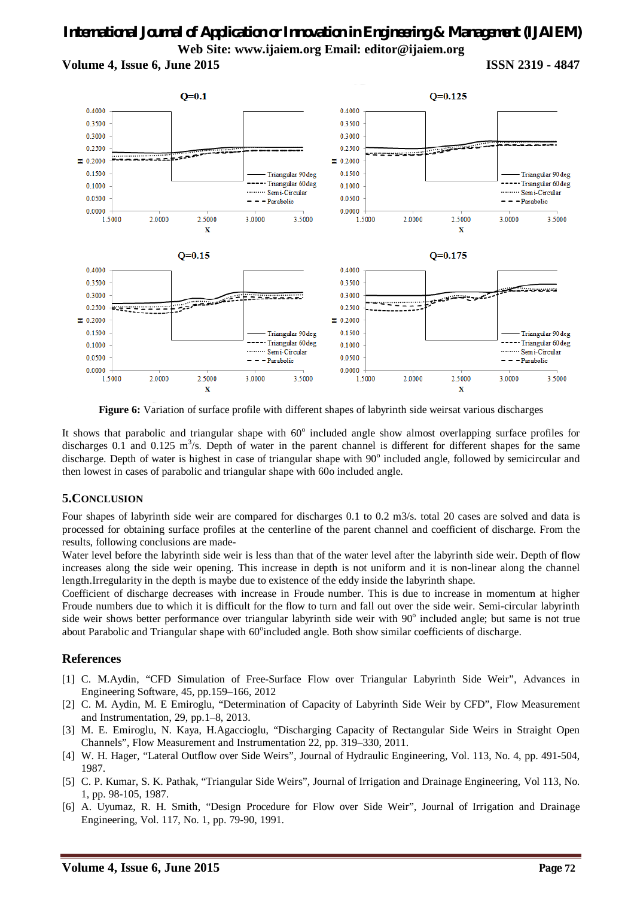# *International Journal of Application or Innovation in Engineering & Management (IJAIEM)* **Web Site: www.ijaiem.org Email: editor@ijaiem.org**

**Volume 4, Issue 6, June 2015 ISSN 2319 - 4847**



**Figure 6:** Variation of surface profile with different shapes of labyrinth side weirsat various discharges

It shows that parabolic and triangular shape with  $60^\circ$  included angle show almost overlapping surface profiles for discharges 0.1 and 0.125  $m<sup>3</sup>/s$ . Depth of water in the parent channel is different for different shapes for the same discharge. Depth of water is highest in case of triangular shape with 90° included angle, followed by semicircular and then lowest in cases of parabolic and triangular shape with 60o included angle.

# **5.CONCLUSION**

Four shapes of labyrinth side weir are compared for discharges 0.1 to 0.2 m3/s. total 20 cases are solved and data is processed for obtaining surface profiles at the centerline of the parent channel and coefficient of discharge. From the results, following conclusions are made-

Water level before the labyrinth side weir is less than that of the water level after the labyrinth side weir. Depth of flow increases along the side weir opening. This increase in depth is not uniform and it is non-linear along the channel length.Irregularity in the depth is maybe due to existence of the eddy inside the labyrinth shape.

Coefficient of discharge decreases with increase in Froude number. This is due to increase in momentum at higher Froude numbers due to which it is difficult for the flow to turn and fall out over the side weir. Semi-circular labyrinth side weir shows better performance over triangular labyrinth side weir with 90° included angle; but same is not true about Parabolic and Triangular shape with 60°included angle. Both show similar coefficients of discharge.

# **References**

- [1] C. M.Aydin, "CFD Simulation of Free-Surface Flow over Triangular Labyrinth Side Weir", Advances in Engineering Software, 45, pp.159–166, 2012
- [2] C. M. Aydin, M. E Emiroglu, "Determination of Capacity of Labyrinth Side Weir by CFD", Flow Measurement and Instrumentation, 29, pp.1–8, 2013.
- [3] M. E. Emiroglu, N. Kaya, H.Agaccioglu, "Discharging Capacity of Rectangular Side Weirs in Straight Open Channels", Flow Measurement and Instrumentation 22, pp. 319–330, 2011.
- [4] W. H. Hager, "Lateral Outflow over Side Weirs", Journal of Hydraulic Engineering, Vol. 113, No. 4, pp. 491-504, 1987.
- [5] C. P. Kumar, S. K. Pathak, "Triangular Side Weirs", Journal of Irrigation and Drainage Engineering, Vol 113, No. 1, pp. 98-105, 1987.
- [6] A. Uyumaz, R. H. Smith, "Design Procedure for Flow over Side Weir", Journal of Irrigation and Drainage Engineering, Vol. 117, No. 1, pp. 79-90, 1991.